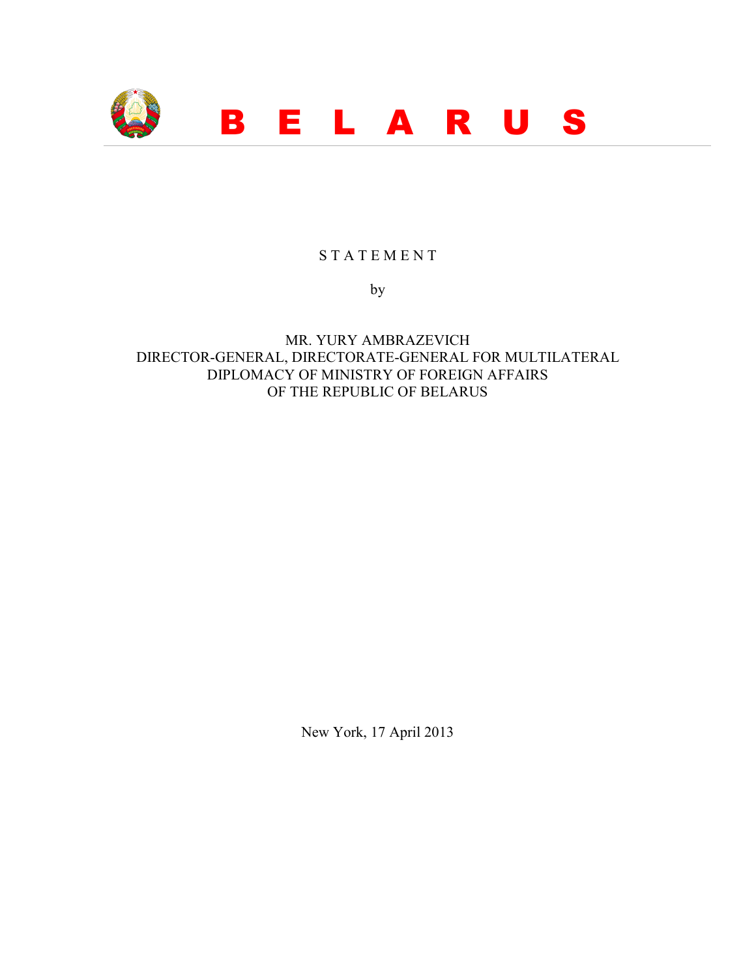

## S T A T E M E N T

by

MR. YURY AMBRAZEVICH DIRECTOR-GENERAL, DIRECTORATE-GENERAL FOR MULTILATERAL DIPLOMACY OF MINISTRY OF FOREIGN AFFAIRS OF THE REPUBLIC OF BELARUS

New York, 17 April 2013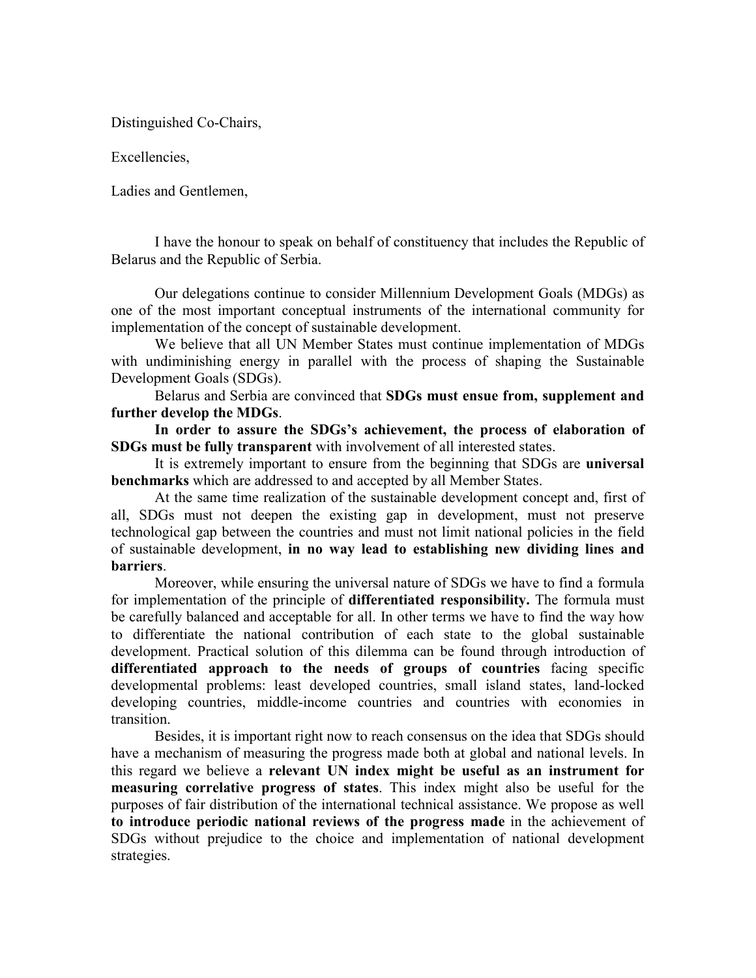Distinguished Co-Chairs,

Excellencies,

Ladies and Gentlemen,

I have the honour to speak on behalf of constituency that includes the Republic of Belarus and the Republic of Serbia.

Our delegations continue to consider Millennium Development Goals (MDGs) as one of the most important conceptual instruments of the international community for implementation of the concept of sustainable development.

We believe that all UN Member States must continue implementation of MDGs with undiminishing energy in parallel with the process of shaping the Sustainable Development Goals (SDGs).

Belarus and Serbia are convinced that **SDGs must ensue from, supplement and further develop the MDGs**.

**In order to assure the SDGs's achievement, the process of elaboration of SDGs must be fully transparent** with involvement of all interested states.

It is extremely important to ensure from the beginning that SDGs are **universal benchmarks** which are addressed to and accepted by all Member States.

At the same time realization of the sustainable development concept and, first of all, SDGs must not deepen the existing gap in development, must not preserve technological gap between the countries and must not limit national policies in the field of sustainable development, **in no way lead to establishing new dividing lines and barriers**.

Moreover, while ensuring the universal nature of SDGs we have to find a formula for implementation of the principle of **differentiated responsibility.** The formula must be carefully balanced and acceptable for all. In other terms we have to find the way how to differentiate the national contribution of each state to the global sustainable development. Practical solution of this dilemma can be found through introduction of **differentiated approach to the needs of groups of countries** facing specific developmental problems: least developed countries, small island states, land-locked developing countries, middle-income countries and countries with economies in transition.

Besides, it is important right now to reach consensus on the idea that SDGs should have a mechanism of measuring the progress made both at global and national levels. In this regard we believe a **relevant UN index might be useful as an instrument for measuring correlative progress of states**. This index might also be useful for the purposes of fair distribution of the international technical assistance. We propose as well **to introduce periodic national reviews of the progress made** in the achievement of SDGs without prejudice to the choice and implementation of national development strategies.